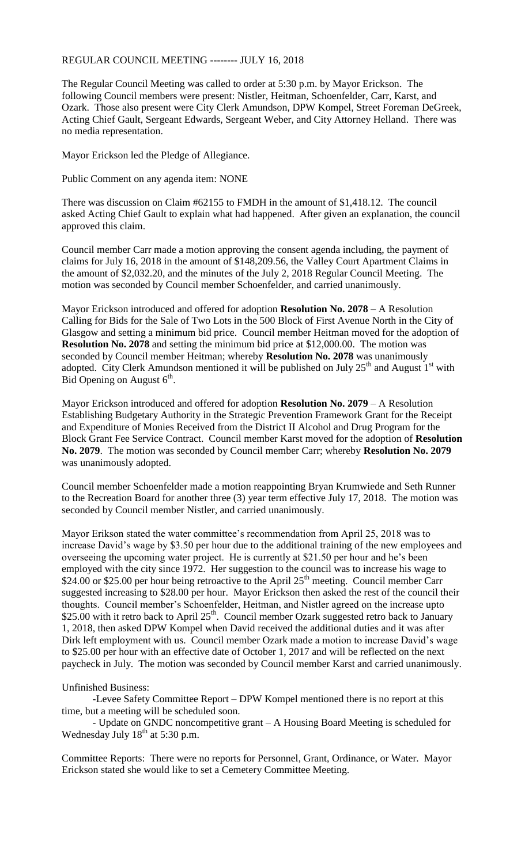## REGULAR COUNCIL MEETING -------- JULY 16, 2018

The Regular Council Meeting was called to order at 5:30 p.m. by Mayor Erickson. The following Council members were present: Nistler, Heitman, Schoenfelder, Carr, Karst, and Ozark. Those also present were City Clerk Amundson, DPW Kompel, Street Foreman DeGreek, Acting Chief Gault, Sergeant Edwards, Sergeant Weber, and City Attorney Helland. There was no media representation.

Mayor Erickson led the Pledge of Allegiance.

Public Comment on any agenda item: NONE

There was discussion on Claim #62155 to FMDH in the amount of \$1,418.12. The council asked Acting Chief Gault to explain what had happened. After given an explanation, the council approved this claim.

Council member Carr made a motion approving the consent agenda including, the payment of claims for July 16, 2018 in the amount of \$148,209.56, the Valley Court Apartment Claims in the amount of \$2,032.20, and the minutes of the July 2, 2018 Regular Council Meeting. The motion was seconded by Council member Schoenfelder, and carried unanimously.

Mayor Erickson introduced and offered for adoption **Resolution No. 2078** – A Resolution Calling for Bids for the Sale of Two Lots in the 500 Block of First Avenue North in the City of Glasgow and setting a minimum bid price. Council member Heitman moved for the adoption of **Resolution No. 2078** and setting the minimum bid price at \$12,000.00. The motion was seconded by Council member Heitman; whereby **Resolution No. 2078** was unanimously adopted. City Clerk Amundson mentioned it will be published on July  $25<sup>th</sup>$  and August  $1<sup>st</sup>$  with Bid Opening on August  $6<sup>th</sup>$ .

Mayor Erickson introduced and offered for adoption **Resolution No. 2079** – A Resolution Establishing Budgetary Authority in the Strategic Prevention Framework Grant for the Receipt and Expenditure of Monies Received from the District II Alcohol and Drug Program for the Block Grant Fee Service Contract. Council member Karst moved for the adoption of **Resolution No. 2079**. The motion was seconded by Council member Carr; whereby **Resolution No. 2079** was unanimously adopted.

Council member Schoenfelder made a motion reappointing Bryan Krumwiede and Seth Runner to the Recreation Board for another three (3) year term effective July 17, 2018. The motion was seconded by Council member Nistler, and carried unanimously.

Mayor Erikson stated the water committee's recommendation from April 25, 2018 was to increase David's wage by \$3.50 per hour due to the additional training of the new employees and overseeing the upcoming water project. He is currently at \$21.50 per hour and he's been employed with the city since 1972. Her suggestion to the council was to increase his wage to \$24.00 or \$25.00 per hour being retroactive to the April 25<sup>th</sup> meeting. Council member Carr suggested increasing to \$28.00 per hour. Mayor Erickson then asked the rest of the council their thoughts. Council member's Schoenfelder, Heitman, and Nistler agreed on the increase upto \$25.00 with it retro back to April 25<sup>th</sup>. Council member Ozark suggested retro back to January 1, 2018, then asked DPW Kompel when David received the additional duties and it was after Dirk left employment with us. Council member Ozark made a motion to increase David's wage to \$25.00 per hour with an effective date of October 1, 2017 and will be reflected on the next paycheck in July. The motion was seconded by Council member Karst and carried unanimously.

## Unfinished Business:

-Levee Safety Committee Report – DPW Kompel mentioned there is no report at this time, but a meeting will be scheduled soon.

- Update on GNDC noncompetitive grant – A Housing Board Meeting is scheduled for Wednesday July  $18<sup>th</sup>$  at 5:30 p.m.

Committee Reports: There were no reports for Personnel, Grant, Ordinance, or Water. Mayor Erickson stated she would like to set a Cemetery Committee Meeting.